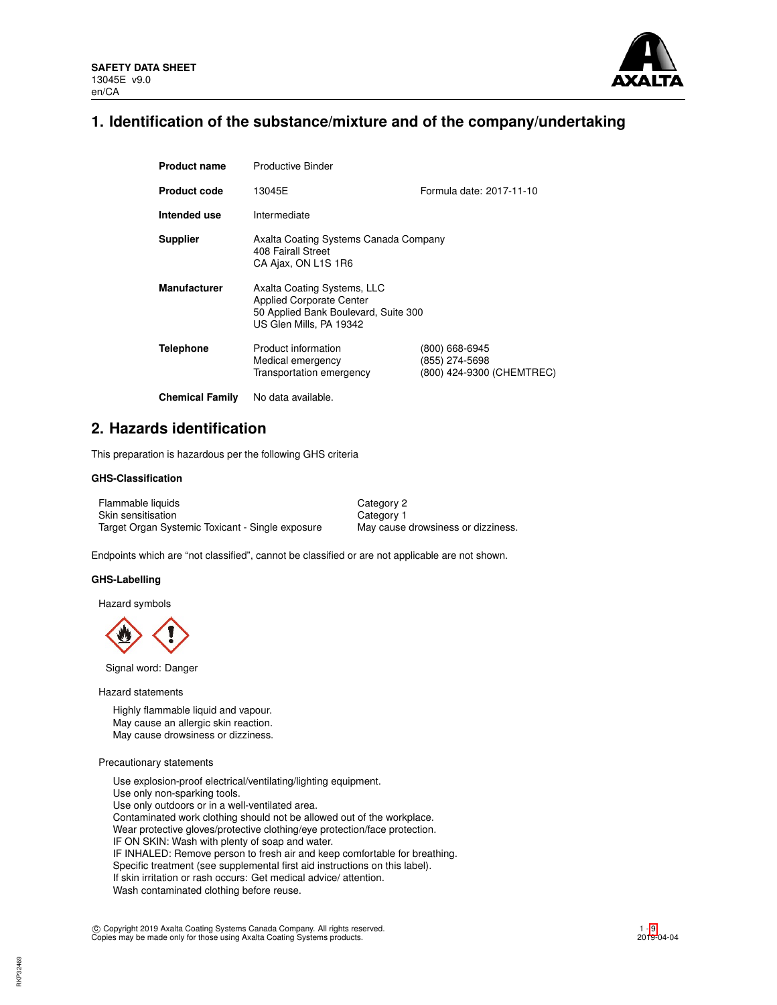

# **1. Identification of the substance/mixture and of the company/undertaking**

| <b>Product name</b>    | <b>Productive Binder</b>                                                                                                          |                                                               |  |  |  |
|------------------------|-----------------------------------------------------------------------------------------------------------------------------------|---------------------------------------------------------------|--|--|--|
| <b>Product code</b>    | 13045E                                                                                                                            | Formula date: 2017-11-10                                      |  |  |  |
| Intended use           | Intermediate                                                                                                                      |                                                               |  |  |  |
| <b>Supplier</b>        | Axalta Coating Systems Canada Company<br>408 Fairall Street<br>CA Ajax, ON L1S 1R6                                                |                                                               |  |  |  |
| <b>Manufacturer</b>    | Axalta Coating Systems, LLC<br><b>Applied Corporate Center</b><br>50 Applied Bank Boulevard, Suite 300<br>US Glen Mills, PA 19342 |                                                               |  |  |  |
| Telephone              | Product information<br>Medical emergency<br>Transportation emergency                                                              | (800) 668-6945<br>(855) 274-5698<br>(800) 424-9300 (CHEMTREC) |  |  |  |
| <b>Chemical Family</b> | No data available.                                                                                                                |                                                               |  |  |  |

# **2. Hazards identification**

This preparation is hazardous per the following GHS criteria

# **GHS-Classification**

| Flammable liquids                                | Category 2                         |
|--------------------------------------------------|------------------------------------|
| Skin sensitisation                               | Category 1                         |
| Target Organ Systemic Toxicant - Single exposure | May cause drowsiness or dizziness. |

Endpoints which are "not classified", cannot be classified or are not applicable are not shown.

### **GHS-Labelling**

Hazard symbols

Signal word: Danger

Hazard statements

Highly flammable liquid and vapour. May cause an allergic skin reaction. May cause drowsiness or dizziness.

# Precautionary statements

Use explosion-proof electrical/ventilating/lighting equipment. Use only non-sparking tools. Use only outdoors or in a well-ventilated area. Contaminated work clothing should not be allowed out of the workplace. Wear protective gloves/protective clothing/eye protection/face protection. IF ON SKIN: Wash with plenty of soap and water. IF INHALED: Remove person to fresh air and keep comfortable for breathing. Specific treatment (see supplemental first aid instructions on this label). If skin irritation or rash occurs: Get medical advice/ attention. Wash contaminated clothing before reuse.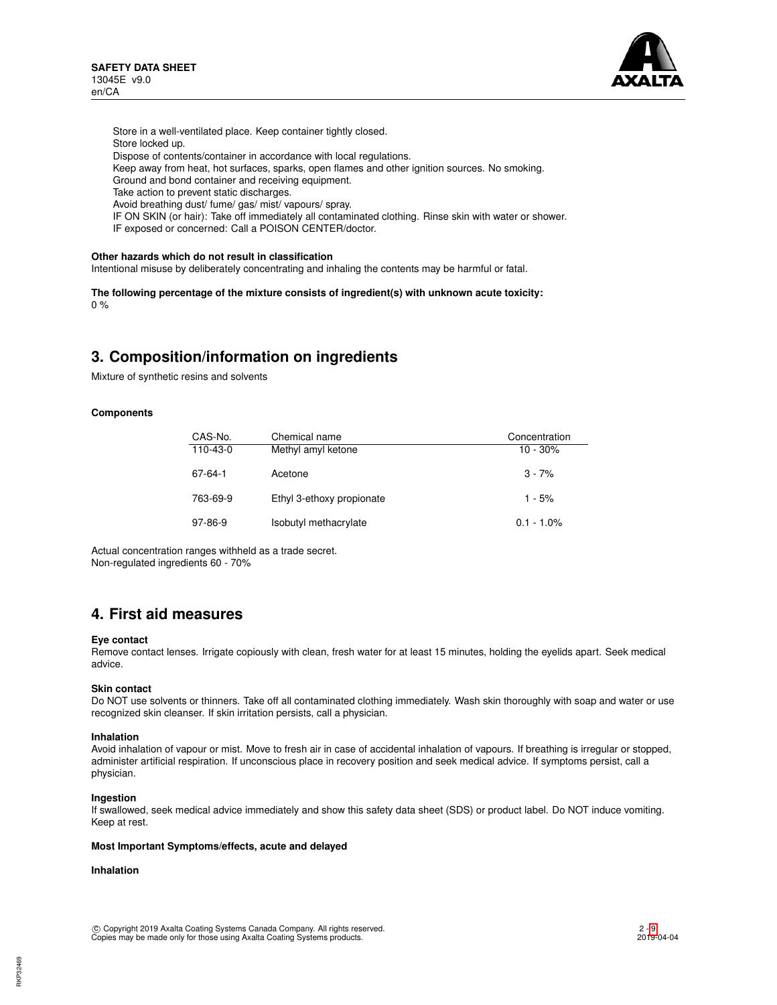

Store in a well-ventilated place. Keep container tightly closed. Store locked up. Dispose of contents/container in accordance with local regulations. Keep away from heat, hot surfaces, sparks, open flames and other ignition sources. No smoking. Ground and bond container and receiving equipment. Take action to prevent static discharges. Avoid breathing dust/ fume/ gas/ mist/ vapours/ spray. IF ON SKIN (or hair): Take off immediately all contaminated clothing. Rinse skin with water or shower. IF exposed or concerned: Call a POISON CENTER/doctor.

# **Other hazards which do not result in classification**

Intentional misuse by deliberately concentrating and inhaling the contents may be harmful or fatal.

**The following percentage of the mixture consists of ingredient(s) with unknown acute toxicity:**  $0 %$ 

# **3. Composition/information on ingredients**

Mixture of synthetic resins and solvents

### **Components**

| CAS-No.   | Chemical name             | Concentration |
|-----------|---------------------------|---------------|
| 110-43-0  | Methyl amyl ketone        | $10 - 30%$    |
| 67-64-1   | Acetone                   | $3 - 7%$      |
| 763-69-9  | Ethyl 3-ethoxy propionate | $1 - 5%$      |
| $97-86-9$ | Isobutyl methacrylate     | $0.1 - 1.0\%$ |

Actual concentration ranges withheld as a trade secret. Non-regulated ingredients 60 - 70%

# **4. First aid measures**

### **Eye contact**

Remove contact lenses. Irrigate copiously with clean, fresh water for at least 15 minutes, holding the eyelids apart. Seek medical advice.

### **Skin contact**

Do NOT use solvents or thinners. Take off all contaminated clothing immediately. Wash skin thoroughly with soap and water or use recognized skin cleanser. If skin irritation persists, call a physician.

#### **Inhalation**

Avoid inhalation of vapour or mist. Move to fresh air in case of accidental inhalation of vapours. If breathing is irregular or stopped, administer artificial respiration. If unconscious place in recovery position and seek medical advice. If symptoms persist, call a physician.

### **Ingestion**

If swallowed, seek medical advice immediately and show this safety data sheet (SDS) or product label. Do NOT induce vomiting. Keep at rest.

### **Most Important Symptoms/effects, acute and delayed**

# **Inhalation**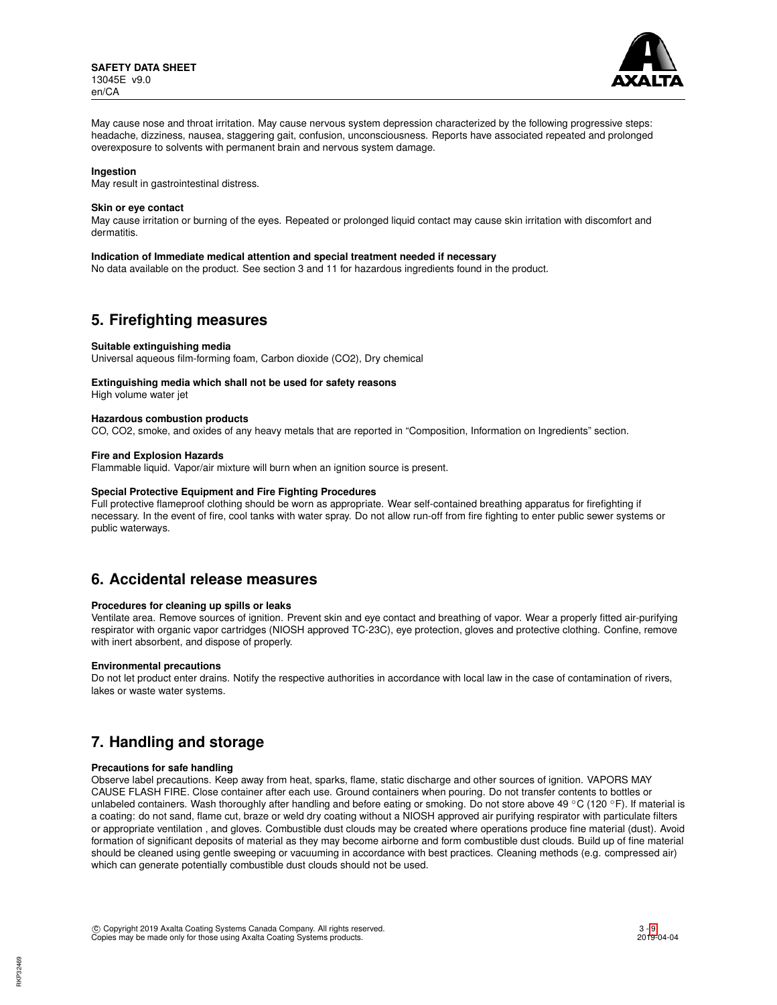

May cause nose and throat irritation. May cause nervous system depression characterized by the following progressive steps: headache, dizziness, nausea, staggering gait, confusion, unconsciousness. Reports have associated repeated and prolonged overexposure to solvents with permanent brain and nervous system damage.

### **Ingestion**

May result in gastrointestinal distress.

### **Skin or eye contact**

May cause irritation or burning of the eyes. Repeated or prolonged liquid contact may cause skin irritation with discomfort and dermatitis.

#### **Indication of Immediate medical attention and special treatment needed if necessary**

No data available on the product. See section 3 and 11 for hazardous ingredients found in the product.

# **5. Firefighting measures**

#### **Suitable extinguishing media**

Universal aqueous film-forming foam, Carbon dioxide (CO2), Dry chemical

# **Extinguishing media which shall not be used for safety reasons**

High volume water jet

# **Hazardous combustion products**

CO, CO2, smoke, and oxides of any heavy metals that are reported in "Composition, Information on Ingredients" section.

## **Fire and Explosion Hazards**

Flammable liquid. Vapor/air mixture will burn when an ignition source is present.

#### **Special Protective Equipment and Fire Fighting Procedures**

Full protective flameproof clothing should be worn as appropriate. Wear self-contained breathing apparatus for firefighting if necessary. In the event of fire, cool tanks with water spray. Do not allow run-off from fire fighting to enter public sewer systems or public waterways.

# **6. Accidental release measures**

## **Procedures for cleaning up spills or leaks**

Ventilate area. Remove sources of ignition. Prevent skin and eye contact and breathing of vapor. Wear a properly fitted air-purifying respirator with organic vapor cartridges (NIOSH approved TC-23C), eye protection, gloves and protective clothing. Confine, remove with inert absorbent, and dispose of properly.

## **Environmental precautions**

Do not let product enter drains. Notify the respective authorities in accordance with local law in the case of contamination of rivers, lakes or waste water systems.

# **7. Handling and storage**

### **Precautions for safe handling**

Observe label precautions. Keep away from heat, sparks, flame, static discharge and other sources of ignition. VAPORS MAY CAUSE FLASH FIRE. Close container after each use. Ground containers when pouring. Do not transfer contents to bottles or unlabeled containers. Wash thoroughly after handling and before eating or smoking. Do not store above 49 °C (120 °F). If material is a coating: do not sand, flame cut, braze or weld dry coating without a NIOSH approved air purifying respirator with particulate filters or appropriate ventilation , and gloves. Combustible dust clouds may be created where operations produce fine material (dust). Avoid formation of significant deposits of material as they may become airborne and form combustible dust clouds. Build up of fine material should be cleaned using gentle sweeping or vacuuming in accordance with best practices. Cleaning methods (e.g. compressed air) which can generate potentially combustible dust clouds should not be used.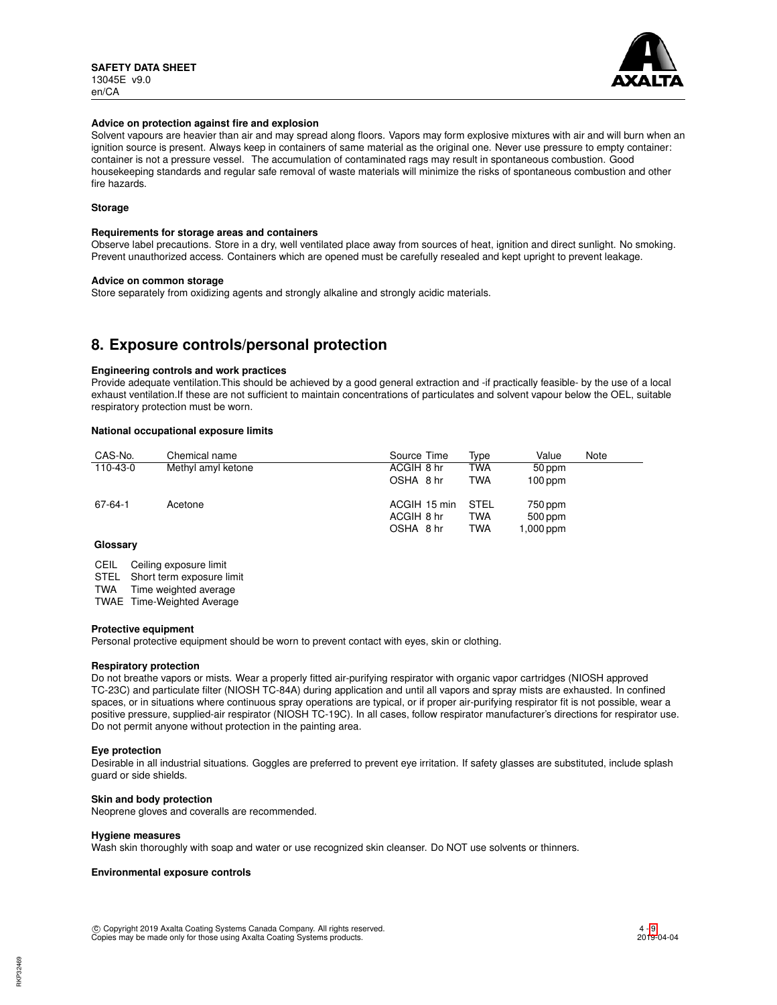

### **Advice on protection against fire and explosion**

Solvent vapours are heavier than air and may spread along floors. Vapors may form explosive mixtures with air and will burn when an ignition source is present. Always keep in containers of same material as the original one. Never use pressure to empty container: container is not a pressure vessel. The accumulation of contaminated rags may result in spontaneous combustion. Good housekeeping standards and regular safe removal of waste materials will minimize the risks of spontaneous combustion and other fire hazards.

# **Storage**

### **Requirements for storage areas and containers**

Observe label precautions. Store in a dry, well ventilated place away from sources of heat, ignition and direct sunlight. No smoking. Prevent unauthorized access. Containers which are opened must be carefully resealed and kept upright to prevent leakage.

## **Advice on common storage**

Store separately from oxidizing agents and strongly alkaline and strongly acidic materials.

# **8. Exposure controls/personal protection**

## **Engineering controls and work practices**

Provide adequate ventilation.This should be achieved by a good general extraction and -if practically feasible- by the use of a local exhaust ventilation.If these are not sufficient to maintain concentrations of particulates and solvent vapour below the OEL, suitable respiratory protection must be worn.

## **National occupational exposure limits**

| CAS-No.  | Chemical name      | Source Time                             | Type                             | Value                           | Note |
|----------|--------------------|-----------------------------------------|----------------------------------|---------------------------------|------|
| 110-43-0 | Methyl amyl ketone | ACGIH 8 hr                              | <b>TWA</b>                       | 50 ppm                          |      |
|          |                    | OSHA 8 hr                               | <b>TWA</b>                       | $100$ ppm                       |      |
| 67-64-1  | Acetone            | ACGIH 15 min<br>ACGIH 8 hr<br>OSHA 8 hr | STEL<br><b>TWA</b><br><b>TWA</b> | 750 ppm<br>500 ppm<br>1,000 ppm |      |

# **Glossary**

CEIL Ceiling exposure limit

STEL Short term exposure limit

TWA Time weighted average

TWAE Time-Weighted Average

### **Protective equipment**

Personal protective equipment should be worn to prevent contact with eyes, skin or clothing.

### **Respiratory protection**

Do not breathe vapors or mists. Wear a properly fitted air-purifying respirator with organic vapor cartridges (NIOSH approved TC-23C) and particulate filter (NIOSH TC-84A) during application and until all vapors and spray mists are exhausted. In confined spaces, or in situations where continuous spray operations are typical, or if proper air-purifying respirator fit is not possible, wear a positive pressure, supplied-air respirator (NIOSH TC-19C). In all cases, follow respirator manufacturer's directions for respirator use. Do not permit anyone without protection in the painting area.

### **Eye protection**

Desirable in all industrial situations. Goggles are preferred to prevent eye irritation. If safety glasses are substituted, include splash guard or side shields.

### **Skin and body protection**

Neoprene gloves and coveralls are recommended.

### **Hygiene measures**

Wash skin thoroughly with soap and water or use recognized skin cleanser. Do NOT use solvents or thinners.

## **Environmental exposure controls**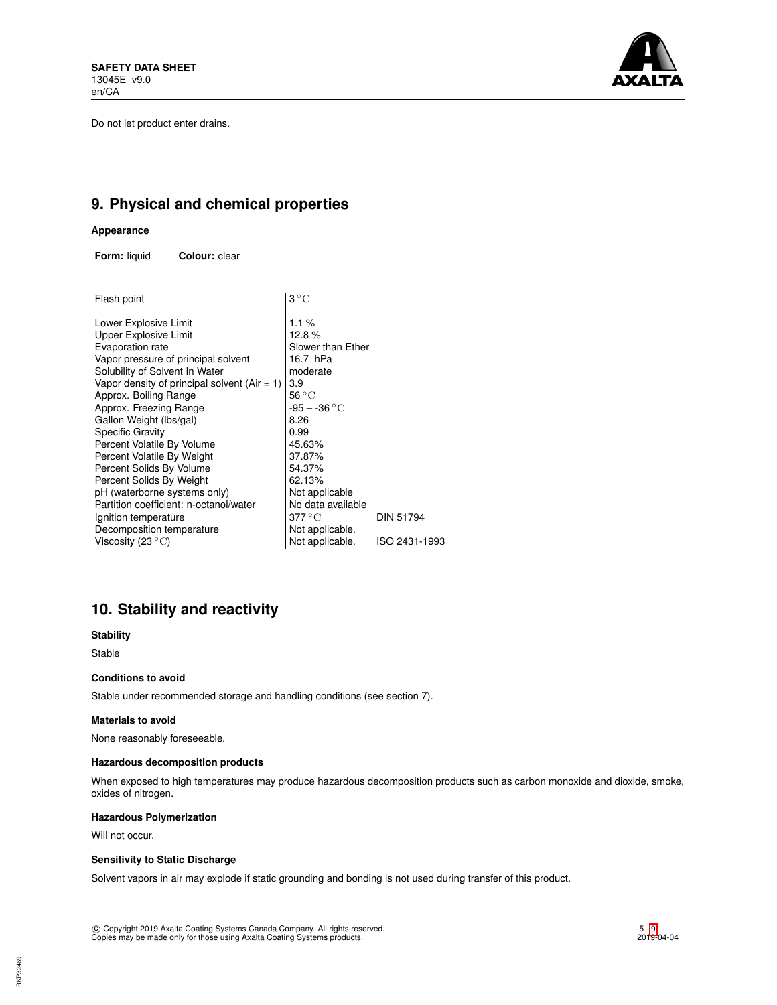Do not let product enter drains.



# **9. Physical and chemical properties**

# **Appearance**

**Form:** liquid **Colour:** clear

| Flash point                                    | $3^{\circ}C$      |               |
|------------------------------------------------|-------------------|---------------|
| Lower Explosive Limit                          | 1.1 $%$           |               |
| Upper Explosive Limit                          | 12.8%             |               |
| Evaporation rate                               | Slower than Ether |               |
| Vapor pressure of principal solvent            | 16.7 hPa          |               |
| Solubility of Solvent In Water                 | moderate          |               |
| Vapor density of principal solvent $(Air = 1)$ | 3.9               |               |
| Approx. Boiling Range                          | $56^{\circ}$ C    |               |
| Approx. Freezing Range                         | $-95 - -36 °C$    |               |
| Gallon Weight (lbs/gal)                        | 8.26              |               |
| <b>Specific Gravity</b>                        | 0.99              |               |
| Percent Volatile By Volume                     | 45.63%            |               |
| Percent Volatile By Weight                     | 37.87%            |               |
| Percent Solids By Volume                       | 54.37%            |               |
| Percent Solids By Weight                       | 62.13%            |               |
| pH (waterborne systems only)                   | Not applicable    |               |
| Partition coefficient: n-octanol/water         | No data available |               |
| Ignition temperature                           | $377^{\circ}$ C   | DIN 51794     |
| Decomposition temperature                      | Not applicable.   |               |
| Viscosity (23 $^{\circ}$ C)                    | Not applicable.   | ISO 2431-1993 |
|                                                |                   |               |

# **10. Stability and reactivity**

# **Stability**

Stable

## **Conditions to avoid**

Stable under recommended storage and handling conditions (see section 7).

### **Materials to avoid**

None reasonably foreseeable.

## **Hazardous decomposition products**

When exposed to high temperatures may produce hazardous decomposition products such as carbon monoxide and dioxide, smoke, oxides of nitrogen.

## **Hazardous Polymerization**

Will not occur.

# **Sensitivity to Static Discharge**

Solvent vapors in air may explode if static grounding and bonding is not used during transfer of this product.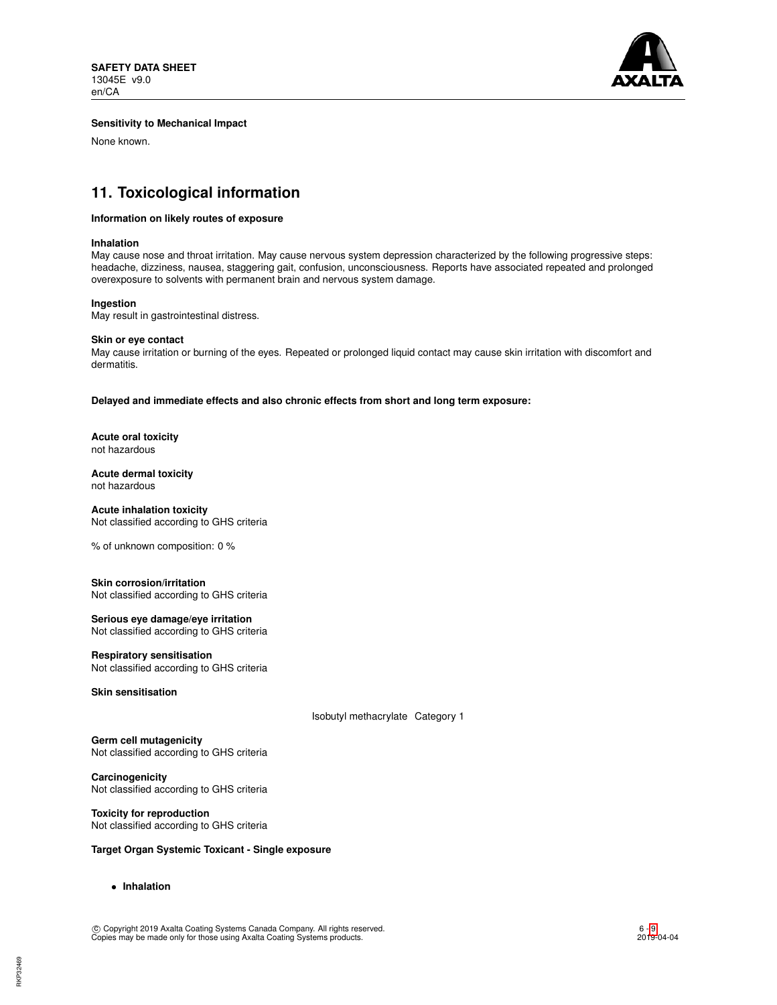

# **Sensitivity to Mechanical Impact**

None known.

# **11. Toxicological information**

## **Information on likely routes of exposure**

### **Inhalation**

May cause nose and throat irritation. May cause nervous system depression characterized by the following progressive steps: headache, dizziness, nausea, staggering gait, confusion, unconsciousness. Reports have associated repeated and prolonged overexposure to solvents with permanent brain and nervous system damage.

### **Ingestion**

May result in gastrointestinal distress.

### **Skin or eye contact**

May cause irritation or burning of the eyes. Repeated or prolonged liquid contact may cause skin irritation with discomfort and dermatitis.

**Delayed and immediate effects and also chronic effects from short and long term exposure:**

**Acute oral toxicity** not hazardous

### **Acute dermal toxicity** not hazardous

## **Acute inhalation toxicity** Not classified according to GHS criteria

% of unknown composition: 0 %

### **Skin corrosion/irritation** Not classified according to GHS criteria

**Serious eye damage/eye irritation** Not classified according to GHS criteria

# **Respiratory sensitisation**

Not classified according to GHS criteria

**Skin sensitisation**

Isobutyl methacrylate Category 1

**Germ cell mutagenicity** Not classified according to GHS criteria

**Carcinogenicity** Not classified according to GHS criteria

### **Toxicity for reproduction** Not classified according to GHS criteria

# **Target Organ Systemic Toxicant - Single exposure**

• **Inhalation**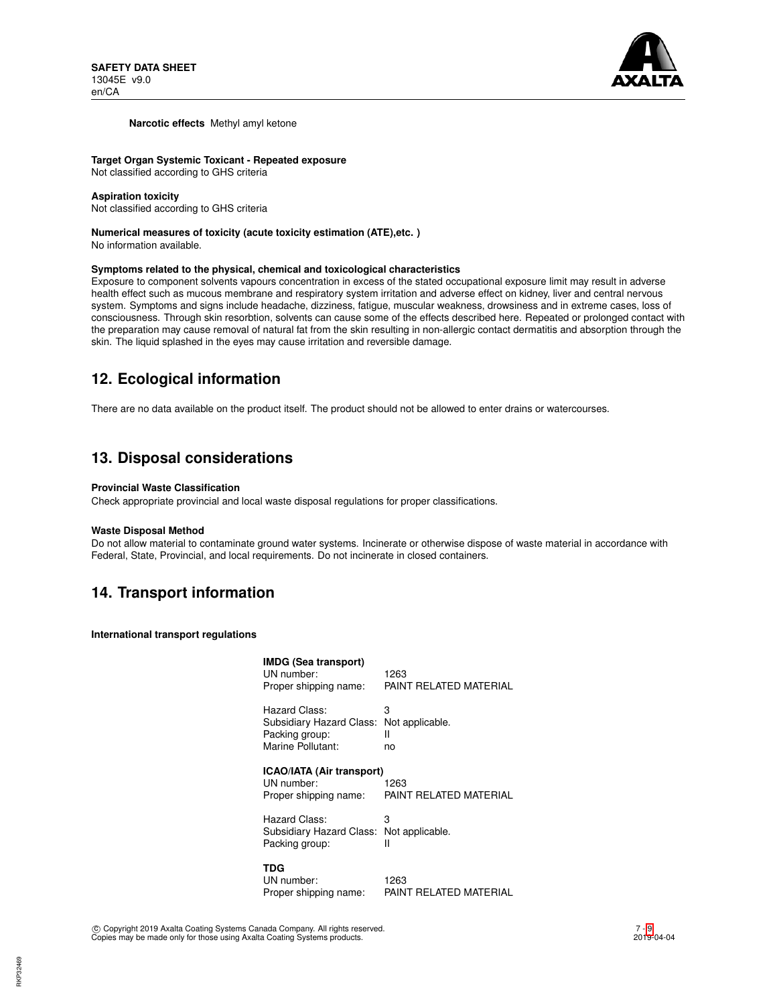

### **Narcotic effects** Methyl amyl ketone

**Target Organ Systemic Toxicant - Repeated exposure** Not classified according to GHS criteria

# **Aspiration toxicity**

Not classified according to GHS criteria

# **Numerical measures of toxicity (acute toxicity estimation (ATE),etc. )**

No information available.

## **Symptoms related to the physical, chemical and toxicological characteristics**

Exposure to component solvents vapours concentration in excess of the stated occupational exposure limit may result in adverse health effect such as mucous membrane and respiratory system irritation and adverse effect on kidney, liver and central nervous system. Symptoms and signs include headache, dizziness, fatigue, muscular weakness, drowsiness and in extreme cases, loss of consciousness. Through skin resorbtion, solvents can cause some of the effects described here. Repeated or prolonged contact with the preparation may cause removal of natural fat from the skin resulting in non-allergic contact dermatitis and absorption through the skin. The liquid splashed in the eyes may cause irritation and reversible damage.

# **12. Ecological information**

There are no data available on the product itself. The product should not be allowed to enter drains or watercourses.

# **13. Disposal considerations**

## **Provincial Waste Classification**

Check appropriate provincial and local waste disposal regulations for proper classifications.

### **Waste Disposal Method**

Do not allow material to contaminate ground water systems. Incinerate or otherwise dispose of waste material in accordance with Federal, State, Provincial, and local requirements. Do not incinerate in closed containers.

# **14. Transport information**

**International transport regulations**

| <b>IMDG (Sea transport)</b><br>UN number:<br>Proper shipping name:               | 1263<br>PAINT RELATED MATERIAL  |
|----------------------------------------------------------------------------------|---------------------------------|
| Hazard Class:<br>Subsidiary Hazard Class:<br>Packing group:<br>Marine Pollutant: | 3<br>Not applicable.<br>н<br>no |
| ICAO/IATA (Air transport)<br>UN number:<br>Proper shipping name:                 | 1263<br>PAINT RELATED MATERIAL  |
| Hazard Class:<br>Subsidiary Hazard Class: Not applicable.<br>Packing group:      | З<br>Ш                          |
| TDG<br>UN number:<br>Proper shipping name:                                       | 1263<br>PAINT RELATED MATERIAL  |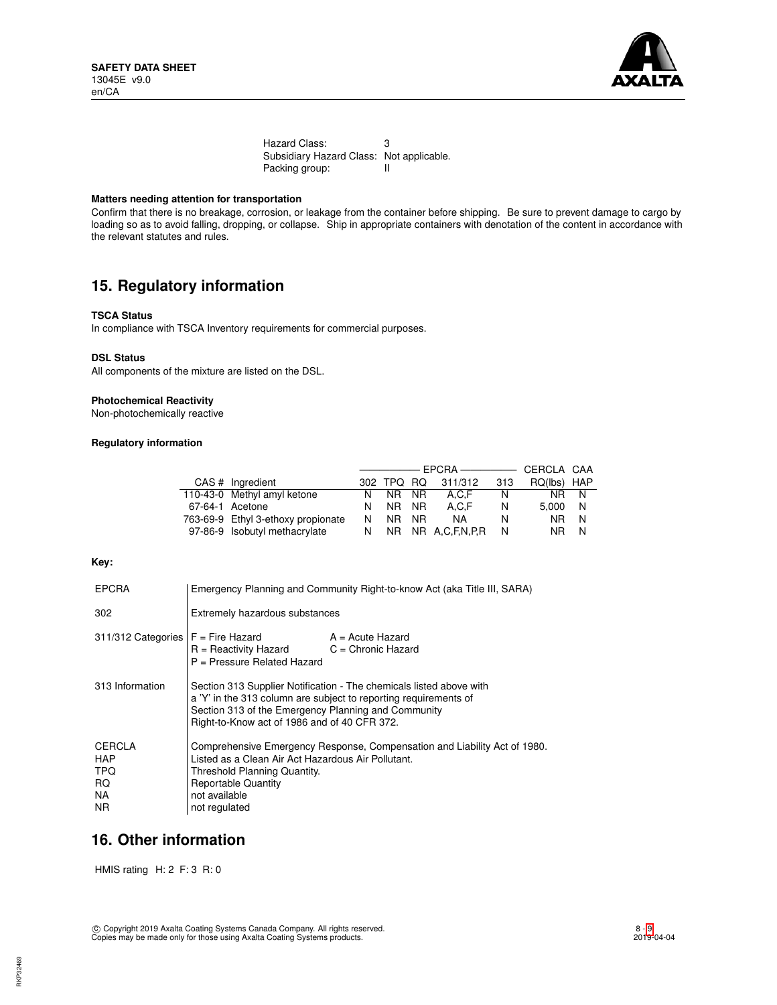

Hazard Class: 3 Subsidiary Hazard Class: Not applicable.<br>Packing group: Il Packing group:

# **Matters needing attention for transportation**

Confirm that there is no breakage, corrosion, or leakage from the container before shipping. Be sure to prevent damage to cargo by loading so as to avoid falling, dropping, or collapse. Ship in appropriate containers with denotation of the content in accordance with the relevant statutes and rules.

# **15. Regulatory information**

## **TSCA Status**

In compliance with TSCA Inventory requirements for commercial purposes.

### **DSL Status**

All components of the mixture are listed on the DSL.

## **Photochemical Reactivity**

Non-photochemically reactive

# **Regulatory information**

| CAS # Ingredient                   |    | 302 TPQ RQ |  | 311/312           | 313 | RQ(lbs) HAP    |     |
|------------------------------------|----|------------|--|-------------------|-----|----------------|-----|
| 110-43-0 Methyl amyl ketone        |    | N NR NR    |  | A.C.F             | N.  | NR.            | - N |
| 67-64-1 Acetone                    | N. | NR NR      |  | A.C.F             | N   | 5.000          | - N |
| 763-69-9 Ethyl 3-ethoxy propionate | N. | NR NR      |  | NA.               | N   | NR.            | N   |
| 97-86-9 Isobutyl methacrylate      | N. |            |  | NR NR A.C.F.N.P.R | N   | N <sub>R</sub> | N   |

### **Key:**

| <b>EPCRA</b>                                      | Emergency Planning and Community Right-to-know Act (aka Title III, SARA)                                                                                                                                                                       |                                            |  |  |
|---------------------------------------------------|------------------------------------------------------------------------------------------------------------------------------------------------------------------------------------------------------------------------------------------------|--------------------------------------------|--|--|
| 302                                               | Extremely hazardous substances                                                                                                                                                                                                                 |                                            |  |  |
| $311/312$ Categories $F =$ Fire Hazard            | $R =$ Reactivity Hazard<br>P = Pressure Related Hazard                                                                                                                                                                                         | $A = Acute$ Hazard<br>$C =$ Chronic Hazard |  |  |
| 313 Information                                   | Section 313 Supplier Notification - The chemicals listed above with<br>a 'Y' in the 313 column are subject to reporting requirements of<br>Section 313 of the Emergency Planning and Community<br>Right-to-Know act of 1986 and of 40 CFR 372. |                                            |  |  |
| <b>CERCLA</b><br>HAP<br>TPQ.<br>RQ.<br>NA.<br>NR. | Comprehensive Emergency Response, Compensation and Liability Act of 1980.<br>Listed as a Clean Air Act Hazardous Air Pollutant.<br>Threshold Planning Quantity.<br><b>Reportable Quantity</b><br>not available<br>not regulated                |                                            |  |  |

# **16. Other information**

HMIS rating H: 2 F: 3 R: 0